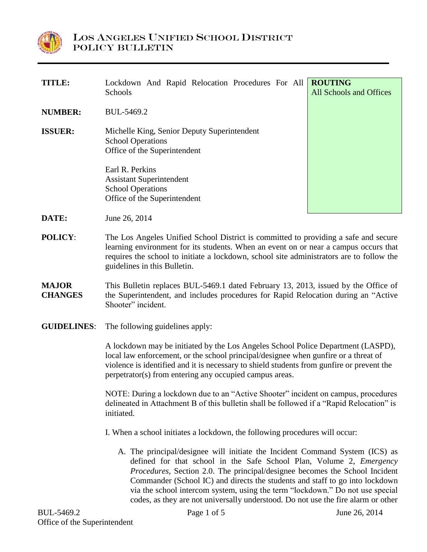

| <b>TITLE:</b>                  | Lockdown And Rapid Relocation Procedures For All<br>Schools                                                                                                                                                                                                                                                                                                                                                                                                                                                                                                                                                                                                                                                                                                                                                                                                                                                                                                                                                                                              | <b>ROUTING</b><br>All Schools and Offices |
|--------------------------------|----------------------------------------------------------------------------------------------------------------------------------------------------------------------------------------------------------------------------------------------------------------------------------------------------------------------------------------------------------------------------------------------------------------------------------------------------------------------------------------------------------------------------------------------------------------------------------------------------------------------------------------------------------------------------------------------------------------------------------------------------------------------------------------------------------------------------------------------------------------------------------------------------------------------------------------------------------------------------------------------------------------------------------------------------------|-------------------------------------------|
| <b>NUMBER:</b>                 | BUL-5469.2                                                                                                                                                                                                                                                                                                                                                                                                                                                                                                                                                                                                                                                                                                                                                                                                                                                                                                                                                                                                                                               |                                           |
| <b>ISSUER:</b>                 | Michelle King, Senior Deputy Superintendent<br><b>School Operations</b><br>Office of the Superintendent                                                                                                                                                                                                                                                                                                                                                                                                                                                                                                                                                                                                                                                                                                                                                                                                                                                                                                                                                  |                                           |
|                                | Earl R. Perkins<br><b>Assistant Superintendent</b><br><b>School Operations</b><br>Office of the Superintendent                                                                                                                                                                                                                                                                                                                                                                                                                                                                                                                                                                                                                                                                                                                                                                                                                                                                                                                                           |                                           |
| DATE:                          | June 26, 2014                                                                                                                                                                                                                                                                                                                                                                                                                                                                                                                                                                                                                                                                                                                                                                                                                                                                                                                                                                                                                                            |                                           |
| <b>POLICY:</b>                 | The Los Angeles Unified School District is committed to providing a safe and secure<br>learning environment for its students. When an event on or near a campus occurs that<br>requires the school to initiate a lockdown, school site administrators are to follow the<br>guidelines in this Bulletin.                                                                                                                                                                                                                                                                                                                                                                                                                                                                                                                                                                                                                                                                                                                                                  |                                           |
| <b>MAJOR</b><br><b>CHANGES</b> | This Bulletin replaces BUL-5469.1 dated February 13, 2013, issued by the Office of<br>the Superintendent, and includes procedures for Rapid Relocation during an "Active"<br>Shooter" incident.                                                                                                                                                                                                                                                                                                                                                                                                                                                                                                                                                                                                                                                                                                                                                                                                                                                          |                                           |
| <b>GUIDELINES:</b>             | The following guidelines apply:<br>A lockdown may be initiated by the Los Angeles School Police Department (LASPD),<br>local law enforcement, or the school principal/designee when gunfire or a threat of<br>violence is identified and it is necessary to shield students from gunfire or prevent the<br>perpetrator(s) from entering any occupied campus areas.<br>NOTE: During a lockdown due to an "Active Shooter" incident on campus, procedures<br>delineated in Attachment B of this bulletin shall be followed if a "Rapid Relocation" is<br>initiated.<br>I. When a school initiates a lockdown, the following procedures will occur:<br>A. The principal/designee will initiate the Incident Command System (ICS) as<br>defined for that school in the Safe School Plan, Volume 2, Emergency<br>Procedures, Section 2.0. The principal/designee becomes the School Incident<br>Commander (School IC) and directs the students and staff to go into lockdown<br>via the school intercom system, using the term "lockdown." Do not use special |                                           |
|                                |                                                                                                                                                                                                                                                                                                                                                                                                                                                                                                                                                                                                                                                                                                                                                                                                                                                                                                                                                                                                                                                          |                                           |
|                                |                                                                                                                                                                                                                                                                                                                                                                                                                                                                                                                                                                                                                                                                                                                                                                                                                                                                                                                                                                                                                                                          |                                           |
|                                |                                                                                                                                                                                                                                                                                                                                                                                                                                                                                                                                                                                                                                                                                                                                                                                                                                                                                                                                                                                                                                                          |                                           |
|                                |                                                                                                                                                                                                                                                                                                                                                                                                                                                                                                                                                                                                                                                                                                                                                                                                                                                                                                                                                                                                                                                          |                                           |

codes, as they are not universally understood. Do not use the fire alarm or other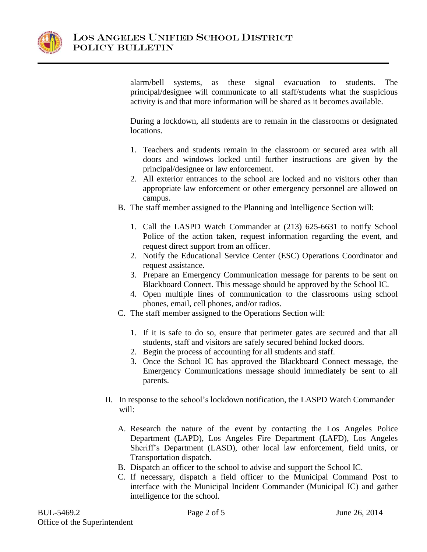

alarm/bell systems, as these signal evacuation to students. The principal/designee will communicate to all staff/students what the suspicious activity is and that more information will be shared as it becomes available.

During a lockdown, all students are to remain in the classrooms or designated locations.

- 1. Teachers and students remain in the classroom or secured area with all doors and windows locked until further instructions are given by the principal/designee or law enforcement.
- 2. All exterior entrances to the school are locked and no visitors other than appropriate law enforcement or other emergency personnel are allowed on campus.
- B. The staff member assigned to the Planning and Intelligence Section will:
	- 1. Call the LASPD Watch Commander at (213) 625-6631 to notify School Police of the action taken, request information regarding the event, and request direct support from an officer.
	- 2. Notify the Educational Service Center (ESC) Operations Coordinator and request assistance.
	- 3. Prepare an Emergency Communication message for parents to be sent on Blackboard Connect. This message should be approved by the School IC.
	- 4. Open multiple lines of communication to the classrooms using school phones, email, cell phones, and/or radios.
- C. The staff member assigned to the Operations Section will:
	- 1. If it is safe to do so, ensure that perimeter gates are secured and that all students, staff and visitors are safely secured behind locked doors.
	- 2. Begin the process of accounting for all students and staff.
	- 3. Once the School IC has approved the Blackboard Connect message, the Emergency Communications message should immediately be sent to all parents.
- II. In response to the school's lockdown notification, the LASPD Watch Commander will:
	- A. Research the nature of the event by contacting the Los Angeles Police Department (LAPD), Los Angeles Fire Department (LAFD), Los Angeles Sheriff's Department (LASD), other local law enforcement, field units, or Transportation dispatch.
	- B. Dispatch an officer to the school to advise and support the School IC.
	- C. If necessary, dispatch a field officer to the Municipal Command Post to interface with the Municipal Incident Commander (Municipal IC) and gather intelligence for the school.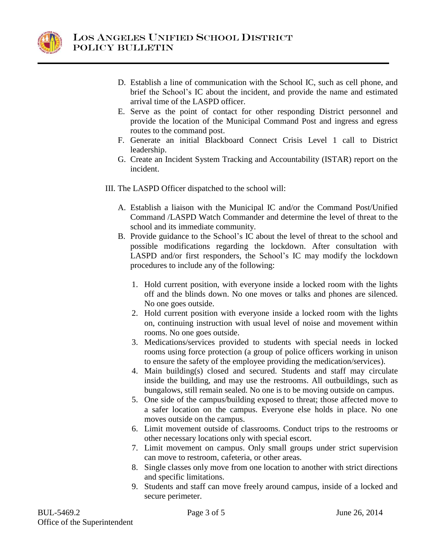

- D. Establish a line of communication with the School IC, such as cell phone, and brief the School's IC about the incident, and provide the name and estimated arrival time of the LASPD officer.
- E. Serve as the point of contact for other responding District personnel and provide the location of the Municipal Command Post and ingress and egress routes to the command post.
- F. Generate an initial Blackboard Connect Crisis Level 1 call to District leadership.
- G. Create an Incident System Tracking and Accountability (ISTAR) report on the incident.
- III. The LASPD Officer dispatched to the school will:
	- A. Establish a liaison with the Municipal IC and/or the Command Post/Unified Command /LASPD Watch Commander and determine the level of threat to the school and its immediate community.
	- B. Provide guidance to the School's IC about the level of threat to the school and possible modifications regarding the lockdown. After consultation with LASPD and/or first responders, the School's IC may modify the lockdown procedures to include any of the following:
		- 1. Hold current position, with everyone inside a locked room with the lights off and the blinds down. No one moves or talks and phones are silenced. No one goes outside.
		- 2. Hold current position with everyone inside a locked room with the lights on, continuing instruction with usual level of noise and movement within rooms. No one goes outside.
		- 3. Medications/services provided to students with special needs in locked rooms using force protection (a group of police officers working in unison to ensure the safety of the employee providing the medication/services).
		- 4. Main building(s) closed and secured. Students and staff may circulate inside the building, and may use the restrooms. All outbuildings, such as bungalows, still remain sealed. No one is to be moving outside on campus.
		- 5. One side of the campus/building exposed to threat; those affected move to a safer location on the campus. Everyone else holds in place. No one moves outside on the campus.
		- 6. Limit movement outside of classrooms. Conduct trips to the restrooms or other necessary locations only with special escort.
		- 7. Limit movement on campus. Only small groups under strict supervision can move to restroom, cafeteria, or other areas.
		- 8. Single classes only move from one location to another with strict directions and specific limitations.
		- 9. Students and staff can move freely around campus, inside of a locked and secure perimeter.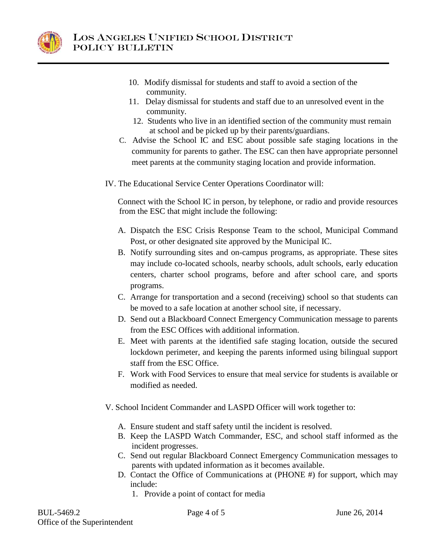

- 10. Modify dismissal for students and staff to avoid a section of the community.
- 11. Delay dismissal for students and staff due to an unresolved event in the community.
- 12. Students who live in an identified section of the community must remain at school and be picked up by their parents/guardians.
- C. Advise the School IC and ESC about possible safe staging locations in the community for parents to gather. The ESC can then have appropriate personnel meet parents at the community staging location and provide information.
- IV. The Educational Service Center Operations Coordinator will:

Connect with the School IC in person, by telephone, or radio and provide resources from the ESC that might include the following:

- A. Dispatch the ESC Crisis Response Team to the school, Municipal Command Post, or other designated site approved by the Municipal IC.
- B. Notify surrounding sites and on-campus programs, as appropriate. These sites may include co-located schools, nearby schools, adult schools, early education centers, charter school programs, before and after school care, and sports programs.
- C. Arrange for transportation and a second (receiving) school so that students can be moved to a safe location at another school site, if necessary.
- D. Send out a Blackboard Connect Emergency Communication message to parents from the ESC Offices with additional information.
- E. Meet with parents at the identified safe staging location, outside the secured lockdown perimeter, and keeping the parents informed using bilingual support staff from the ESC Office.
- F. Work with Food Services to ensure that meal service for students is available or modified as needed.
- V. School Incident Commander and LASPD Officer will work together to:
	- A. Ensure student and staff safety until the incident is resolved.
	- B. Keep the LASPD Watch Commander, ESC, and school staff informed as the incident progresses.
	- C. Send out regular Blackboard Connect Emergency Communication messages to parents with updated information as it becomes available.
	- D. Contact the Office of Communications at (PHONE #) for support, which may include:
		- 1. Provide a point of contact for media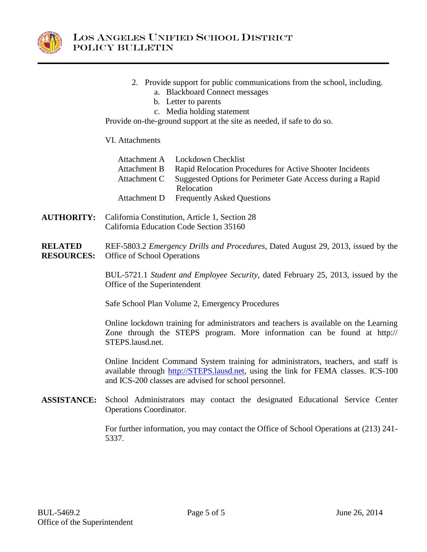

- 2. Provide support for public communications from the school, including.
	- a. Blackboard Connect messages
	- b. Letter to parents
	- c. Media holding statement

Provide on-the-ground support at the site as needed, if safe to do so.

# VI. Attachments

| Attachment A Lockdown Checklist                                         |  |
|-------------------------------------------------------------------------|--|
| Attachment B Rapid Relocation Procedures for Active Shooter Incidents   |  |
| Attachment C Suggested Options for Perimeter Gate Access during a Rapid |  |
| Relocation                                                              |  |
| Attachment D Frequently Asked Questions                                 |  |

- **AUTHORITY:** California Constitution, Article 1, Section 28 California Education Code Section 35160
- **RELATED RESOURCES:** REF-5803.2 *Emergency Drills and Procedures,* Dated August 29, 2013, issued by the Office of School Operations

BUL-5721.1 *Student and Employee Security*, dated February 25, 2013, issued by the Office of the Superintendent

Safe School Plan Volume 2, Emergency Procedures

Online lockdown training for administrators and teachers is available on the Learning Zone through the STEPS program. More information can be found at http:// STEPS.lausd.net.

Online Incident Command System training for administrators, teachers, and staff is available through [http://STEPS.lausd.net,](http://steps.lausd.net/) using the link for FEMA classes. ICS-100 and ICS-200 classes are advised for school personnel.

**ASSISTANCE:** School Administrators may contact the designated Educational Service Center Operations Coordinator.

> For further information, you may contact the Office of School Operations at (213) 241- 5337.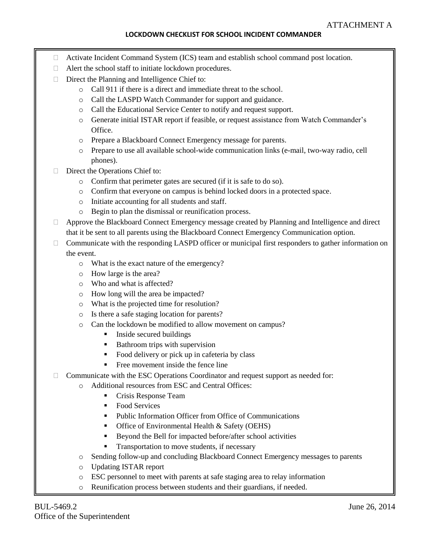# **LOCKDOWN CHECKLIST FOR SCHOOL INCIDENT COMMANDER**

- □ Activate Incident Command System (ICS) team and establish school command post location.
- □ Alert the school staff to initiate lockdown procedures.
- $\Box$  Direct the Planning and Intelligence Chief to:
	- o Call 911 if there is a direct and immediate threat to the school.
	- o Call the LASPD Watch Commander for support and guidance.
	- o Call the Educational Service Center to notify and request support.
	- o Generate initial ISTAR report if feasible, or request assistance from Watch Commander's Office.
	- o Prepare a Blackboard Connect Emergency message for parents.
	- o Prepare to use all available school-wide communication links (e-mail, two-way radio, cell phones).
- Direct the Operations Chief to:
	- Confirm that perimeter gates are secured (if it is safe to do so).
	- o Confirm that everyone on campus is behind locked doors in a protected space.
	- o Initiate accounting for all students and staff.
	- o Begin to plan the dismissal or reunification process.
- Approve the Blackboard Connect Emergency message created by Planning and Intelligence and direct that it be sent to all parents using the Blackboard Connect Emergency Communication option.
- $\Box$  Communicate with the responding LASPD officer or municipal first responders to gather information on the event.
	- o What is the exact nature of the emergency?
	- o How large is the area?
	- o Who and what is affected?
	- o How long will the area be impacted?
	- o What is the projected time for resolution?
	- o Is there a safe staging location for parents?
	- o Can the lockdown be modified to allow movement on campus?
		- **Inside secured buildings**
		- **Bathroom trips with supervision**
		- Food delivery or pick up in cafeteria by class
		- Free movement inside the fence line
- $\Box$  Communicate with the ESC Operations Coordinator and request support as needed for:
	- o Additional resources from ESC and Central Offices:
		- Crisis Response Team
		- Food Services
		- Public Information Officer from Office of Communications
		- Office of Environmental Health & Safety (OEHS)
		- Beyond the Bell for impacted before/after school activities
		- **Transportation to move students, if necessary**
	- o Sending follow-up and concluding Blackboard Connect Emergency messages to parents
	- o Updating ISTAR report
	- o ESC personnel to meet with parents at safe staging area to relay information
	- $\circ$ Reunification process between students and their guardians, if needed.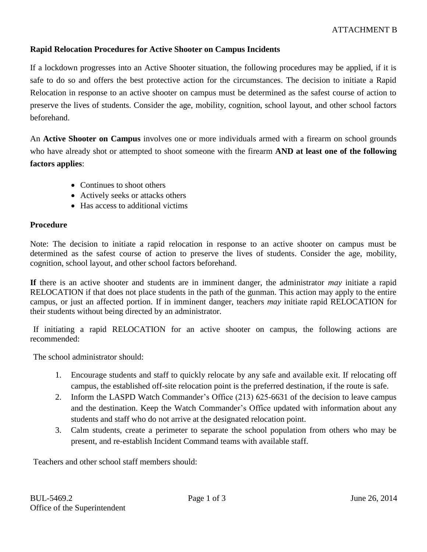# **Rapid Relocation Procedures for Active Shooter on Campus Incidents**

If a lockdown progresses into an Active Shooter situation, the following procedures may be applied, if it is safe to do so and offers the best protective action for the circumstances. The decision to initiate a Rapid Relocation in response to an active shooter on campus must be determined as the safest course of action to preserve the lives of students. Consider the age, mobility, cognition, school layout, and other school factors beforehand.

An **Active Shooter on Campus** involves one or more individuals armed with a firearm on school grounds who have already shot or attempted to shoot someone with the firearm **AND at least one of the following factors applies**:

- Continues to shoot others
- Actively seeks or attacks others
- Has access to additional victims

# **Procedure**

Note: The decision to initiate a rapid relocation in response to an active shooter on campus must be determined as the safest course of action to preserve the lives of students. Consider the age, mobility, cognition, school layout, and other school factors beforehand.

**If** there is an active shooter and students are in imminent danger, the administrator *may* initiate a rapid RELOCATION if that does not place students in the path of the gunman. This action may apply to the entire campus, or just an affected portion. If in imminent danger, teachers *may* initiate rapid RELOCATION for their students without being directed by an administrator.

If initiating a rapid RELOCATION for an active shooter on campus, the following actions are recommended:

The school administrator should:

- 1. Encourage students and staff to quickly relocate by any safe and available exit. If relocating off campus, the established off-site relocation point is the preferred destination, if the route is safe.
- 2. Inform the LASPD Watch Commander's Office (213) 625-6631 of the decision to leave campus and the destination. Keep the Watch Commander's Office updated with information about any students and staff who do not arrive at the designated relocation point.
- 3. Calm students, create a perimeter to separate the school population from others who may be present, and re-establish Incident Command teams with available staff.

Teachers and other school staff members should: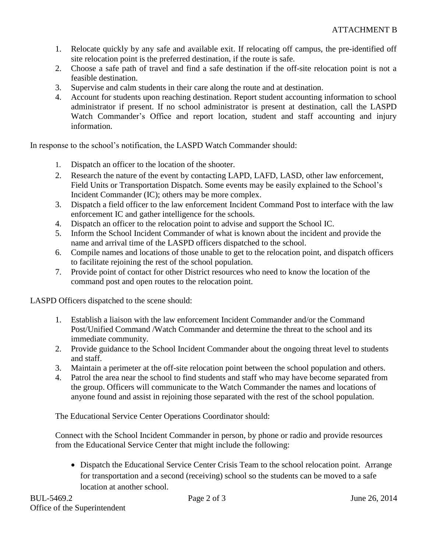- 1. Relocate quickly by any safe and available exit. If relocating off campus, the pre-identified off site relocation point is the preferred destination, if the route is safe.
- 2. Choose a safe path of travel and find a safe destination if the off-site relocation point is not a feasible destination.
- 3. Supervise and calm students in their care along the route and at destination.
- 4. Account for students upon reaching destination. Report student accounting information to school administrator if present. If no school administrator is present at destination, call the LASPD Watch Commander's Office and report location, student and staff accounting and injury information.

In response to the school's notification, the LASPD Watch Commander should:

- 1. Dispatch an officer to the location of the shooter.
- 2. Research the nature of the event by contacting LAPD, LAFD, LASD, other law enforcement, Field Units or Transportation Dispatch. Some events may be easily explained to the School's Incident Commander (IC); others may be more complex.
- 3. Dispatch a field officer to the law enforcement Incident Command Post to interface with the law enforcement IC and gather intelligence for the schools.
- 4. Dispatch an officer to the relocation point to advise and support the School IC.
- 5. Inform the School Incident Commander of what is known about the incident and provide the name and arrival time of the LASPD officers dispatched to the school.
- 6. Compile names and locations of those unable to get to the relocation point, and dispatch officers to facilitate rejoining the rest of the school population.
- 7. Provide point of contact for other District resources who need to know the location of the command post and open routes to the relocation point.

LASPD Officers dispatched to the scene should:

- 1. Establish a liaison with the law enforcement Incident Commander and/or the Command Post/Unified Command /Watch Commander and determine the threat to the school and its immediate community.
- 2. Provide guidance to the School Incident Commander about the ongoing threat level to students and staff.
- 3. Maintain a perimeter at the off-site relocation point between the school population and others.
- 4. Patrol the area near the school to find students and staff who may have become separated from the group. Officers will communicate to the Watch Commander the names and locations of anyone found and assist in rejoining those separated with the rest of the school population.

The Educational Service Center Operations Coordinator should:

Connect with the School Incident Commander in person, by phone or radio and provide resources from the Educational Service Center that might include the following:

• Dispatch the Educational Service Center Crisis Team to the school relocation point. Arrange for transportation and a second (receiving) school so the students can be moved to a safe location at another school.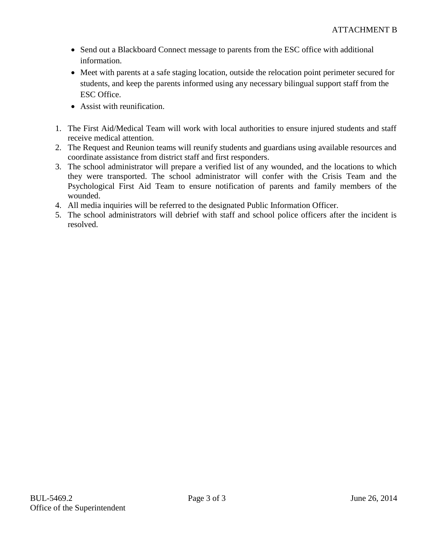- Send out a Blackboard Connect message to parents from the ESC office with additional information.
- Meet with parents at a safe staging location, outside the relocation point perimeter secured for students, and keep the parents informed using any necessary bilingual support staff from the ESC Office.
- Assist with reunification.
- 1. The First Aid/Medical Team will work with local authorities to ensure injured students and staff receive medical attention.
- 2. The Request and Reunion teams will reunify students and guardians using available resources and coordinate assistance from district staff and first responders.
- 3. The school administrator will prepare a verified list of any wounded, and the locations to which they were transported. The school administrator will confer with the Crisis Team and the Psychological First Aid Team to ensure notification of parents and family members of the wounded.
- 4. All media inquiries will be referred to the designated Public Information Officer.
- 5. The school administrators will debrief with staff and school police officers after the incident is resolved.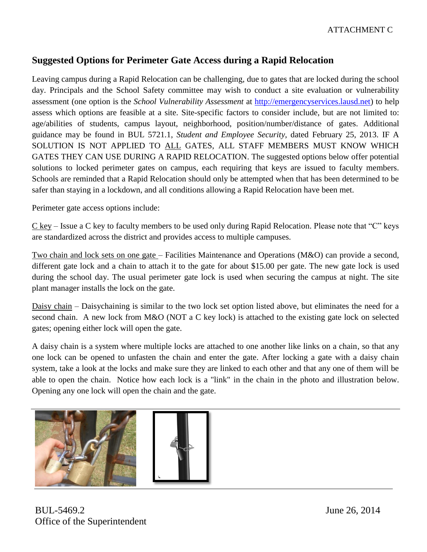# **Suggested Options for Perimeter Gate Access during a Rapid Relocation**

Leaving campus during a Rapid Relocation can be challenging, due to gates that are locked during the school day. Principals and the School Safety committee may wish to conduct a site evaluation or vulnerability assessment (one option is the *School Vulnerability Assessment* at [http://emergencyservices.lausd.net\)](http://emergencyservices.lausd.net/) to help assess which options are feasible at a site. Site-specific factors to consider include, but are not limited to: age/abilities of students, campus layout, neighborhood, position/number/distance of gates. Additional guidance may be found in BUL 5721.1, *Student and Employee Security*, dated February 25, 2013. IF A SOLUTION IS NOT APPLIED TO ALL GATES, ALL STAFF MEMBERS MUST KNOW WHICH GATES THEY CAN USE DURING A RAPID RELOCATION. The suggested options below offer potential solutions to locked perimeter gates on campus, each requiring that keys are issued to faculty members. Schools are reminded that a Rapid Relocation should only be attempted when that has been determined to be safer than staying in a lockdown, and all conditions allowing a Rapid Relocation have been met.

Perimeter gate access options include:

 $C$  key – Issue a C key to faculty members to be used only during Rapid Relocation. Please note that "C" keys are standardized across the district and provides access to multiple campuses.

Two chain and lock sets on one gate – Facilities Maintenance and Operations (M&O) can provide a second, different gate lock and a chain to attach it to the gate for about \$15.00 per gate. The new gate lock is used during the school day. The usual perimeter gate lock is used when securing the campus at night. The site plant manager installs the lock on the gate.

Daisy chain – Daisychaining is similar to the two lock set option listed above, but eliminates the need for a second chain. A new lock from M&O (NOT a C key lock) is attached to the existing gate lock on selected gates; opening either lock will open the gate.

A daisy chain is a system where multiple locks are attached to one another like links on a chain, so that any one lock can be opened to unfasten the chain and enter the gate. After locking a gate with a daisy chain system, take a look at the locks and make sure they are linked to each other and that any one of them will be able to open the chain. Notice how each lock is a "link" in the chain in the photo and illustration below. Opening any one lock will open the chain and the gate.



BUL-5469.2 June 26, 2014 Office of the Superintendent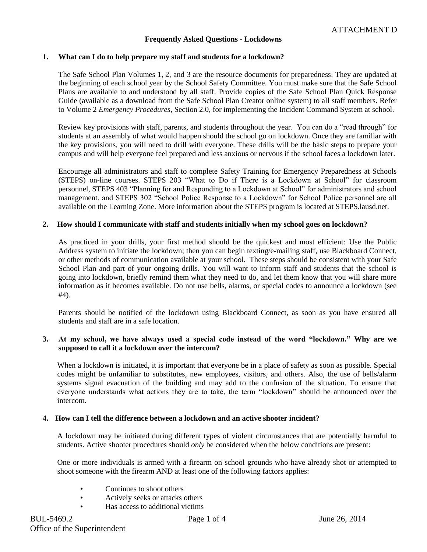#### **Frequently Asked Questions - Lockdowns**

#### **1. What can I do to help prepare my staff and students for a lockdown?**

The Safe School Plan Volumes 1, 2, and 3 are the resource documents for preparedness. They are updated at the beginning of each school year by the School Safety Committee. You must make sure that the Safe School Plans are available to and understood by all staff. Provide copies of the Safe School Plan Quick Response Guide (available as a download from the Safe School Plan Creator online system) to all staff members. Refer to Volume 2 *Emergency Procedures,* Section 2.0, for implementing the Incident Command System at school.

Review key provisions with staff, parents, and students throughout the year. You can do a "read through" for students at an assembly of what would happen should the school go on lockdown. Once they are familiar with the key provisions, you will need to drill with everyone. These drills will be the basic steps to prepare your campus and will help everyone feel prepared and less anxious or nervous if the school faces a lockdown later.

Encourage all administrators and staff to complete Safety Training for Emergency Preparedness at Schools (STEPS) on-line courses. STEPS 203 "What to Do if There is a Lockdown at School" for classroom personnel, STEPS 403 "Planning for and Responding to a Lockdown at School" for administrators and school management, and STEPS 302 "School Police Response to a Lockdown" for School Police personnel are all available on the Learning Zone. More information about the STEPS program is located at STEPS.lausd.net.

#### **2. How should I communicate with staff and students initially when my school goes on lockdown?**

As practiced in your drills, your first method should be the quickest and most efficient: Use the Public Address system to initiate the lockdown; then you can begin texting/e-mailing staff, use Blackboard Connect, or other methods of communication available at your school. These steps should be consistent with your Safe School Plan and part of your ongoing drills. You will want to inform staff and students that the school is going into lockdown, briefly remind them what they need to do, and let them know that you will share more information as it becomes available. Do not use bells, alarms, or special codes to announce a lockdown (see #4).

Parents should be notified of the lockdown using Blackboard Connect, as soon as you have ensured all students and staff are in a safe location.

#### **3. At my school, we have always used a special code instead of the word "lockdown." Why are we supposed to call it a lockdown over the intercom?**

When a lockdown is initiated, it is important that everyone be in a place of safety as soon as possible. Special codes might be unfamiliar to substitutes, new employees, visitors, and others. Also, the use of bells/alarm systems signal evacuation of the building and may add to the confusion of the situation. To ensure that everyone understands what actions they are to take, the term "lockdown" should be announced over the intercom.

#### **4. How can I tell the difference between a lockdown and an active shooter incident?**

A lockdown may be initiated during different types of violent circumstances that are potentially harmful to students. Active shooter procedures should *only* be considered when the below conditions are present:

One or more individuals is armed with a firearm on school grounds who have already shot or attempted to shoot someone with the firearm AND at least one of the following factors applies:

- Continues to shoot others
- Actively seeks or attacks others
- Has access to additional victims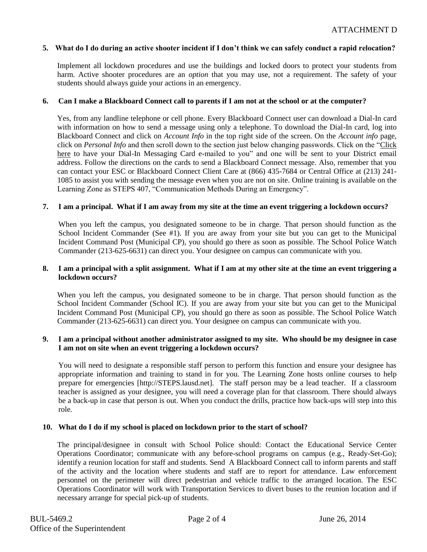#### **5. What do I do during an active shooter incident if I don't think we can safely conduct a rapid relocation?**

Implement all lockdown procedures and use the buildings and locked doors to protect your students from harm. Active shooter procedures are an *option* that you may use, not a requirement. The safety of your students should always guide your actions in an emergency.

#### **6. Can I make a Blackboard Connect call to parents if I am not at the school or at the computer?**

Yes, from any landline telephone or cell phone. Every Blackboard Connect user can download a Dial-In card with information on how to send a message using only a telephone. To download the Dial-In card, log into Blackboard Connect and click on *Account Info* in the top right side of the screen. On the *Account info* page, click on *Personal Info* and then scroll down to the section just below changing passwords. Click on the "Click here to have your Dial-In Messaging Card e-mailed to you" and one will be sent to your District email address. Follow the directions on the cards to send a Blackboard Connect message. Also, remember that you can contact your ESC or Blackboard Connect Client Care at (866) 435-7684 or Central Office at (213) 241- 1085 to assist you with sending the message even when you are not on site. Online training is available on the Learning Zone as STEPS 407, "Communication Methods During an Emergency".

#### **7. I am a principal. What if I am away from my site at the time an event triggering a lockdown occurs?**

When you left the campus, you designated someone to be in charge. That person should function as the School Incident Commander (See #1). If you are away from your site but you can get to the Municipal Incident Command Post (Municipal CP), you should go there as soon as possible. The School Police Watch Commander (213-625-6631) can direct you. Your designee on campus can communicate with you.

#### **8. I am a principal with a split assignment. What if I am at my other site at the time an event triggering a lockdown occurs?**

When you left the campus, you designated someone to be in charge. That person should function as the School Incident Commander (School IC). If you are away from your site but you can get to the Municipal Incident Command Post (Municipal CP), you should go there as soon as possible. The School Police Watch Commander (213-625-6631) can direct you. Your designee on campus can communicate with you.

#### **9. I am a principal without another administrator assigned to my site. Who should be my designee in case I am not on site when an event triggering a lockdown occurs?**

You will need to designate a responsible staff person to perform this function and ensure your designee has appropriate information and training to stand in for you. The Learning Zone hosts online courses to help prepare for emergencies [http://STEPS.lausd.net]. The staff person may be a lead teacher. If a classroom teacher is assigned as your designee, you will need a coverage plan for that classroom. There should always be a back-up in case that person is out. When you conduct the drills, practice how back-ups will step into this role.

#### **10. What do I do if my school is placed on lockdown prior to the start of school?**

The principal/designee in consult with School Police should: Contact the Educational Service Center Operations Coordinator; communicate with any before-school programs on campus (e.g., Ready-Set-Go); identify a reunion location for staff and students. Send A Blackboard Connect call to inform parents and staff of the activity and the location where students and staff are to report for attendance. Law enforcement personnel on the perimeter will direct pedestrian and vehicle traffic to the arranged location. The ESC Operations Coordinator will work with Transportation Services to divert buses to the reunion location and if necessary arrange for special pick-up of students.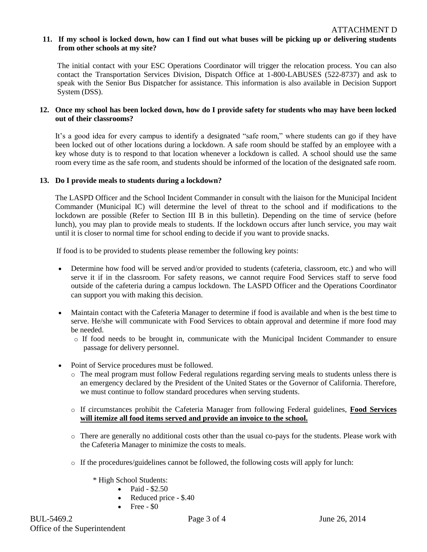## **11. If my school is locked down, how can I find out what buses will be picking up or delivering students from other schools at my site?**

The initial contact with your ESC Operations Coordinator will trigger the relocation process. You can also contact the Transportation Services Division, Dispatch Office at 1-800-LABUSES (522-8737) and ask to speak with the Senior Bus Dispatcher for assistance. This information is also available in Decision Support System (DSS).

## **12. Once my school has been locked down, how do I provide safety for students who may have been locked out of their classrooms?**

It's a good idea for every campus to identify a designated "safe room," where students can go if they have been locked out of other locations during a lockdown. A safe room should be staffed by an employee with a key whose duty is to respond to that location whenever a lockdown is called. A school should use the same room every time as the safe room, and students should be informed of the location of the designated safe room.

## **13. Do I provide meals to students during a lockdown?**

The LASPD Officer and the School Incident Commander in consult with the liaison for the Municipal Incident Commander (Municipal IC) will determine the level of threat to the school and if modifications to the lockdown are possible (Refer to Section III B in this bulletin). Depending on the time of service (before lunch), you may plan to provide meals to students. If the lockdown occurs after lunch service, you may wait until it is closer to normal time for school ending to decide if you want to provide snacks.

If food is to be provided to students please remember the following key points:

- Determine how food will be served and/or provided to students (cafeteria, classroom, etc.) and who will serve it if in the classroom. For safety reasons, we cannot require Food Services staff to serve food outside of the cafeteria during a campus lockdown. The LASPD Officer and the Operations Coordinator can support you with making this decision.
- Maintain contact with the Cafeteria Manager to determine if food is available and when is the best time to serve. He/she will communicate with Food Services to obtain approval and determine if more food may be needed.
	- o If food needs to be brought in, communicate with the Municipal Incident Commander to ensure passage for delivery personnel.
- Point of Service procedures must be followed.
	- o The meal program must follow Federal regulations regarding serving meals to students unless there is an emergency declared by the President of the United States or the Governor of California. Therefore, we must continue to follow standard procedures when serving students.
	- o If circumstances prohibit the Cafeteria Manager from following Federal guidelines, **Food Services will itemize all food items served and provide an invoice to the school.**
	- o There are generally no additional costs other than the usual co-pays for the students. Please work with the Cafeteria Manager to minimize the costs to meals.
	- o If the procedures/guidelines cannot be followed, the following costs will apply for lunch:
		- \* High School Students:
			- Paid \$2.50
			- Reduced price \$.40
			- $\bullet$  Free \$0